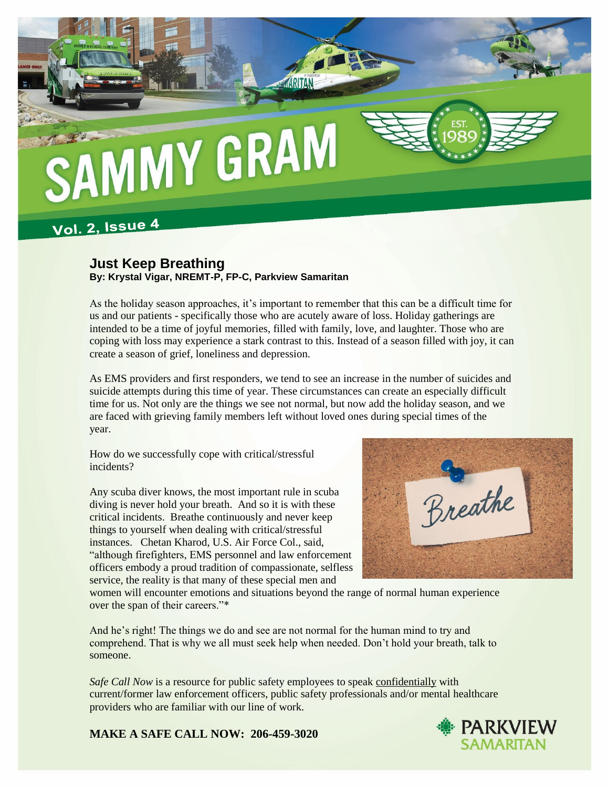

## **Vol. 2, Issue 4**

## **Just Keep Breathing By: Krystal Vigar, NREMT-P, FP-C, Parkview Samaritan**

As the holiday season approaches, it's important to remember that this can be a difficult time for us and our patients - specifically those who are acutely aware of loss. Holiday gatherings are intended to be a time of joyful memories, filled with family, love, and laughter. Those who are coping with loss may experience a stark contrast to this. Instead of a season filled with joy, it can create a season of grief, loneliness and depression.

As EMS providers and first responders, we tend to see an increase in the number of suicides and suicide attempts during this time of year. These circumstances can create an especially difficult time for us. Not only are the things we see not normal, but now add the holiday season, and we are faced with grieving family members left without loved ones during special times of the year.

How do we successfully cope with critical/stressful incidents?

Any scuba diver knows, the most important rule in scuba diving is never hold your breath. And so it is with these critical incidents. Breathe continuously and never keep things to yourself when dealing with critical/stressful instances. Chetan Kharod, U.S. Air Force Col., said, "although firefighters, EMS personnel and law enforcement officers embody a proud tradition of compassionate, selfless service, the reality is that many of these special men and



women will encounter emotions and situations beyond the range of normal human experience over the span of their careers."\*

And he's right! The things we do and see are not normal for the human mind to try and comprehend. That is why we all must seek help when needed. Don't hold your breath, talk to someone.

*Safe Call Now* is a resource for public safety employees to speak confidentially with current/former law enforcement officers, public safety professionals and/or mental healthcare providers who are familiar with our line of work.

**MAKE A SAFE CALL NOW: 206-459-3020**